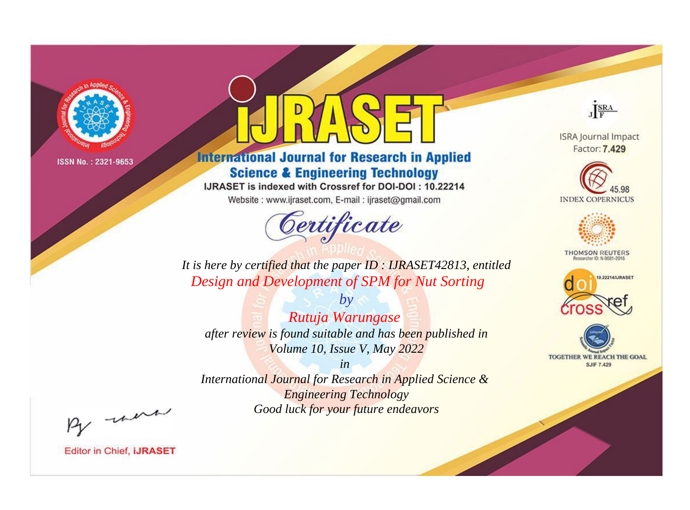

# **International Journal for Research in Applied Science & Engineering Technology**

IJRASET is indexed with Crossref for DOI-DOI: 10.22214

Website: www.ijraset.com, E-mail: ijraset@gmail.com



JERA

**ISRA Journal Impact** Factor: 7.429





**THOMSON REUTERS** 



TOGETHER WE REACH THE GOAL **SJIF 7.429** 

It is here by certified that the paper ID: IJRASET42813, entitled Design and Development of SPM for Nut Sorting

Rutuja Warungase after review is found suitable and has been published in Volume 10, Issue V, May 2022

 $b\nu$ 

 $in$ International Journal for Research in Applied Science & **Engineering Technology** Good luck for your future endeavors

By morn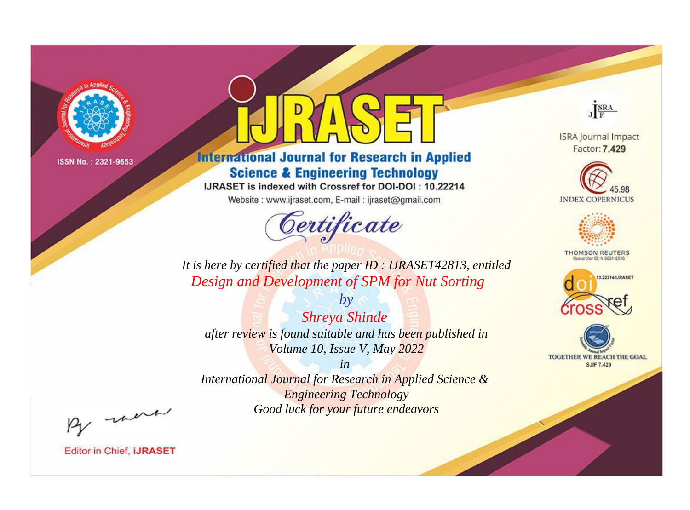

# **International Journal for Research in Applied Science & Engineering Technology**

IJRASET is indexed with Crossref for DOI-DOI: 10.22214

Website: www.ijraset.com, E-mail: ijraset@gmail.com



JERA

**ISRA Journal Impact** Factor: 7.429





**THOMSON REUTERS** 



TOGETHER WE REACH THE GOAL **SJIF 7.429** 

*It is here by certified that the paper ID : IJRASET42813, entitled Design and Development of SPM for Nut Sorting*

*Shreya Shinde after review is found suitable and has been published in Volume 10, Issue V, May 2022*

*by*

*in* 

*International Journal for Research in Applied Science & Engineering Technology Good luck for your future endeavors*

By morn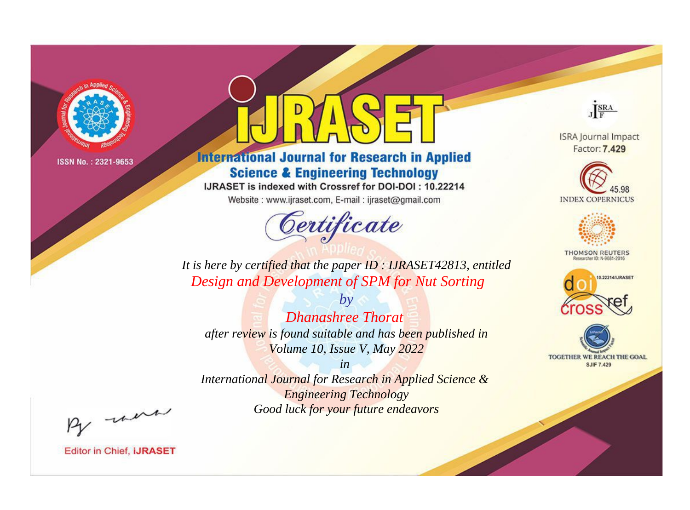

# **International Journal for Research in Applied Science & Engineering Technology**

IJRASET is indexed with Crossref for DOI-DOI: 10.22214

Website: www.ijraset.com, E-mail: ijraset@gmail.com



JERA

**ISRA Journal Impact** Factor: 7.429





**THOMSON REUTERS** 



TOGETHER WE REACH THE GOAL **SJIF 7.429** 

It is here by certified that the paper ID: IJRASET42813, entitled Design and Development of SPM for Nut Sorting

 $b\nu$ **Dhanashree Thorat** after review is found suitable and has been published in Volume 10, Issue V, May 2022

 $in$ International Journal for Research in Applied Science & **Engineering Technology** Good luck for your future endeavors

By morn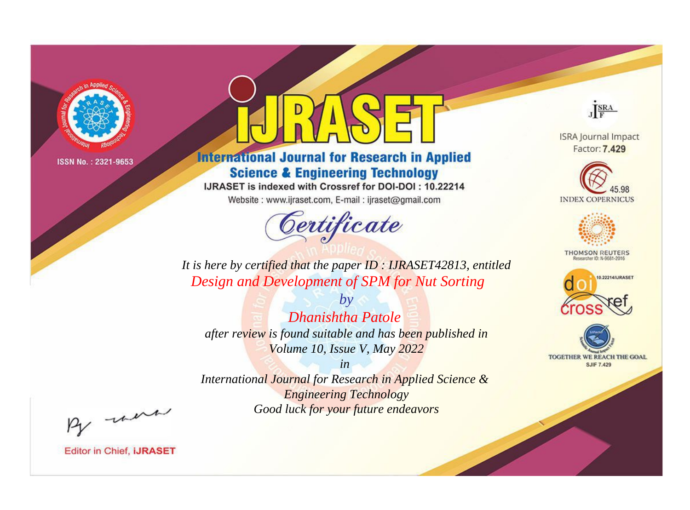

# **International Journal for Research in Applied Science & Engineering Technology**

IJRASET is indexed with Crossref for DOI-DOI: 10.22214

Website: www.ijraset.com, E-mail: ijraset@gmail.com



JERA

**ISRA Journal Impact** Factor: 7.429





**THOMSON REUTERS** 



TOGETHER WE REACH THE GOAL **SJIF 7.429** 

*It is here by certified that the paper ID : IJRASET42813, entitled Design and Development of SPM for Nut Sorting*

*Dhanishtha Patole after review is found suitable and has been published in Volume 10, Issue V, May 2022*

*by*

*in* 

*International Journal for Research in Applied Science & Engineering Technology Good luck for your future endeavors*

By morn